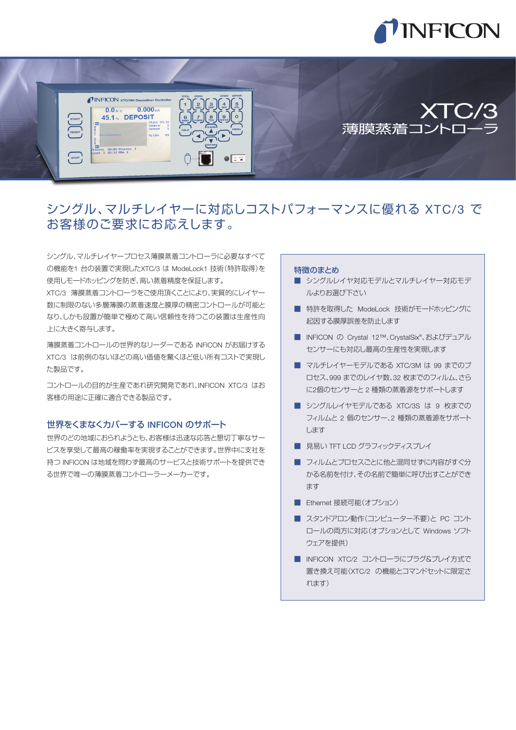



# シングル、マルチレイヤーに対応しコストパフォーマンスに優れる XTC/3 で お客様のご要求にお応えします。

シングル、マルチレイヤープロセス薄膜蒸着コントローラに必要なすべて の機能を1 台の装置で実現したXTC/3 は ModeLock1 技術(特許取得)を 使用しモードホッピングを防ぎ、高い蒸着精度を保証します。

XTC/3 薄膜蒸着コントローラをご使用頂くことにより、実質的にレイヤー 数に制限のない多層薄膜の蒸着速度と膜厚の精密コントロールが可能と なり、しかも設置が簡単で極めて高い信頼性を持つこの装置は生産性向 上に大きく寄与します。

薄膜蒸着コントロールの世界的なリーダーである INFICON がお届けする XTC/3 は前例のないほどの高い価値を驚くほど低い所有コストで実現し た製品です。

コントロールの目的が生産であれ研究開発であれ、INFICON XTC/3 はお 客様の用途に正確に適合できる製品です。

## 世界をくまなくカバーする INFICON のサポート

世界のどの地域におられようとも、お客様は迅速な応答と懇切丁寧なサー ビスを享受して最高の稼働率を実現することができます。世界中に支社を 持つ INFICON は地域を問わず最高のサービスと技術サポートを提供でき る世界で唯一の薄膜蒸着コントローラーメーカーです。

#### 特徴のまとめ

- シングルレイヤ対応モデルとマルチレイヤー対応モデ ルよりお選び下さい
- 特許を取得した ModeLock 技術がモードホッピングに 起因する膜厚誤差を防止します
- INFICON の Crystal 12™、CrystalSix® 、およびデュアル センサーにも対応し最高の生産性を実現します
- マルチレイヤーモデルである XTC/3M は 99 までのプ ロセス、999 までのレイヤ数、32 枚までのフィルム、さら に2個のセンサーと 2 種類の蒸着源をサポートします
- シングルレイヤモデルである XTC/3S は 9 枚までの フィルムと 2 個のセンサー、2 種類の蒸着源をサポート します
- 見易い TFT LCD グラフィックディスプレイ
- フィルムとプロセスごとに他と混同せずに内容がすぐ分 かる名前を付け、その名前で簡単に呼び出すことができ ます
- Ethernet 接続可能(オプション)
- スタンドアロン動作(コンピューター不要) と PC コント ロールの両方に対応(オプションとして Windows ソフト ウェアを提供)
- INFICON XTC/2 コントローラにプラグ&プレイ方式で 置き換え可能(XTC/2 の機能とコマンドセットに限定さ れます)